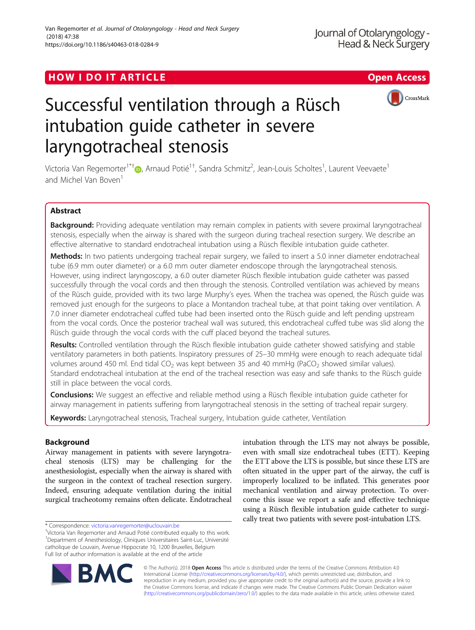## HOW I DO IT ARTICLE AND THE OPEN ACCESS OPEN ACCESS



# Successful ventilation through a Rüsch intubation guide catheter in severe laryngotracheal stenosis

Victoria Van Regemorter<sup>1\*†</sup>®[,](http://orcid.org/0000-0001-9097-8085) Arnaud Potié<sup>1†</sup>, Sandra Schmitz<sup>2</sup>, Jean-Louis Scholtes<sup>1</sup>, Laurent Veevaete<sup>1</sup> and Michel Van Boven<sup>1</sup>

## Abstract

Background: Providing adequate ventilation may remain complex in patients with severe proximal laryngotracheal stenosis, especially when the airway is shared with the surgeon during tracheal resection surgery. We describe an effective alternative to standard endotracheal intubation using a Rüsch flexible intubation guide catheter.

Methods: In two patients undergoing tracheal repair surgery, we failed to insert a 5.0 inner diameter endotracheal tube (6.9 mm outer diameter) or a 6.0 mm outer diameter endoscope through the laryngotracheal stenosis. However, using indirect laryngoscopy, a 6.0 outer diameter Rüsch flexible intubation guide catheter was passed successfully through the vocal cords and then through the stenosis. Controlled ventilation was achieved by means of the Rüsch guide, provided with its two large Murphy's eyes. When the trachea was opened, the Rüsch guide was removed just enough for the surgeons to place a Montandon tracheal tube, at that point taking over ventilation. A 7.0 inner diameter endotracheal cuffed tube had been inserted onto the Rüsch guide and left pending upstream from the vocal cords. Once the posterior tracheal wall was sutured, this endotracheal cuffed tube was slid along the Rüsch guide through the vocal cords with the cuff placed beyond the tracheal sutures.

Results: Controlled ventilation through the Rüsch flexible intubation quide catheter showed satisfying and stable ventilatory parameters in both patients. Inspiratory pressures of 25–30 mmHg were enough to reach adequate tidal volumes around 450 ml. End tidal  $CO<sub>2</sub>$  was kept between 35 and 40 mmHg (PaCO<sub>2</sub> showed similar values). Standard endotracheal intubation at the end of the tracheal resection was easy and safe thanks to the Rüsch guide still in place between the vocal cords.

**Conclusions:** We suggest an effective and reliable method using a Rüsch flexible intubation guide catheter for airway management in patients suffering from laryngotracheal stenosis in the setting of tracheal repair surgery.

Keywords: Laryngotracheal stenosis, Tracheal surgery, Intubation guide catheter, Ventilation

## Background

Airway management in patients with severe laryngotracheal stenosis (LTS) may be challenging for the anesthesiologist, especially when the airway is shared with the surgeon in the context of tracheal resection surgery. Indeed, ensuring adequate ventilation during the initial surgical tracheotomy remains often delicate. Endotracheal

intubation through the LTS may not always be possible, even with small size endotracheal tubes (ETT). Keeping the ETT above the LTS is possible, but since these LTS are often situated in the upper part of the airway, the cuff is improperly localized to be inflated. This generates poor mechanical ventilation and airway protection. To overcome this issue we report a safe and effective technique using a Rüsch flexible intubation guide catheter to surgically treat two patients with severe post-intubation LTS.



© The Author(s). 2018 Open Access This article is distributed under the terms of the Creative Commons Attribution 4.0 International License [\(http://creativecommons.org/licenses/by/4.0/](http://creativecommons.org/licenses/by/4.0/)), which permits unrestricted use, distribution, and reproduction in any medium, provided you give appropriate credit to the original author(s) and the source, provide a link to the Creative Commons license, and indicate if changes were made. The Creative Commons Public Domain Dedication waiver [\(http://creativecommons.org/publicdomain/zero/1.0/](http://creativecommons.org/publicdomain/zero/1.0/)) applies to the data made available in this article, unless otherwise stated.

<sup>\*</sup> Correspondence: [victoria.vanregemorter@uclouvain.be](mailto:victoria.vanregemorter@uclouvain.be) †

<sup>&</sup>lt;sup>†</sup>Victoria Van Regemorter and Arnaud Potié contributed equally to this work. <sup>1</sup>Department of Anesthesiology, Cliniques Universitaires Saint-Luc, Université catholique de Louvain, Avenue Hippocrate 10, 1200 Bruxelles, Belgium Full list of author information is available at the end of the article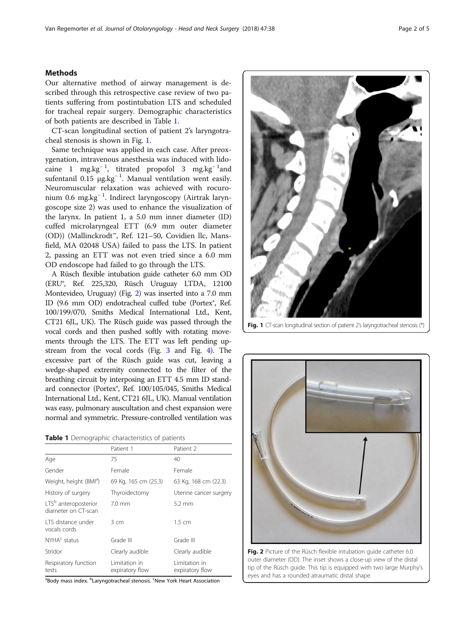## Methods

Our alternative method of airway management is described through this retrospective case review of two patients suffering from postintubation LTS and scheduled for tracheal repair surgery. Demographic characteristics of both patients are described in Table 1.

CT-scan longitudinal section of patient 2's laryngotracheal stenosis is shown in Fig. 1.

Same technique was applied in each case. After preoxygenation, intravenous anesthesia was induced with lidocaine 1 mg.kg<sup>-1</sup>, titrated propofol 3 mg.kg<sup>-1</sup>and sufentanil 0.15 µg.kg<sup>-1</sup>. Manual ventilation went easily. Neuromuscular relaxation was achieved with rocuronium 0.6 mg.kg<sup>− 1</sup>. Indirect laryngoscopy (Airtrak laryngoscope size 2) was used to enhance the visualization of the larynx. In patient 1, a 5.0 mm inner diameter (ID) cuffed microlaryngeal ETT (6.9 mm outer diameter (OD)) (Mallinckrodt™, Ref. 121–50, Covidien llc, Mansfield, MA 02048 USA) failed to pass the LTS. In patient 2, passing an ETT was not even tried since a 6.0 mm OD endoscope had failed to go through the LTS.

A Rüsch flexible intubation guide catheter 6.0 mm OD (ERU®, Ref. 225,320, Rüsch Uruguay LTDA, 12100 Montevideo, Uruguay) (Fig. 2) was inserted into a 7.0 mm ID (9.6 mm OD) endotracheal cuffed tube (Portex®, Ref. 100/199/070, Smiths Medical International Ltd., Kent, CT21 6JL, UK). The Rüsch guide was passed through the vocal cords and then pushed softly with rotating movements through the LTS. The ETT was left pending upstream from the vocal cords (Fig. [3](#page-2-0) and Fig. [4\)](#page-2-0). The excessive part of the Rüsch guide was cut, leaving a wedge-shaped extremity connected to the filter of the breathing circuit by interposing an ETT 4.5 mm ID standard connector (Portex®, Ref. 100/105/045, Smiths Medical International Ltd., Kent, CT21 6JL, UK). Manual ventilation was easy, pulmonary auscultation and chest expansion were normal and symmetric. Pressure-controlled ventilation was

| Table 1 Demographic characteristics of patients |  |
|-------------------------------------------------|--|
|-------------------------------------------------|--|

|                                                         | Patient 1                        | Patient 2                        |
|---------------------------------------------------------|----------------------------------|----------------------------------|
| Age                                                     | 75                               | 40                               |
| Gender                                                  | Female                           | Female                           |
| Weight, height (BMI <sup>a</sup> )                      | 69 Kg, 165 cm (25.3)             | 63 Kg, 168 cm (22.3)             |
| History of surgery                                      | Thyroidectomy                    | Uterine cancer surgery           |
| LTS <sup>b</sup> anteroposterior<br>diameter on CT-scan | $7.0 \text{ mm}$                 | 5.2 mm                           |
| LTS distance under<br>vocals cords                      | $3 \, \text{cm}$                 | $1.5 \text{ cm}$                 |
| $NYHAc$ status                                          | Grade III                        | Grade III                        |
| Stridor                                                 | Clearly audible                  | Clearly audible                  |
| Respiratory function<br>tests                           | Limitation in<br>expiratory flow | Limitation in<br>expiratory flow |

<sup>a</sup>Body mass index. <sup>b</sup>Laryngotracheal stenosis. <sup>c</sup>New York Heart Association



Fig. 1 CT-scan longitudinal section of patient 2's laryngotracheal stenosis (\*)



Fig. 2 Picture of the Rüsch flexible intubation guide catheter 6.0 outer diameter (OD). The inset shows a close-up view of the distal tip of the Rüsch guide. This tip is equipped with two large Murphy's eyes and has a rounded atraumatic distal shape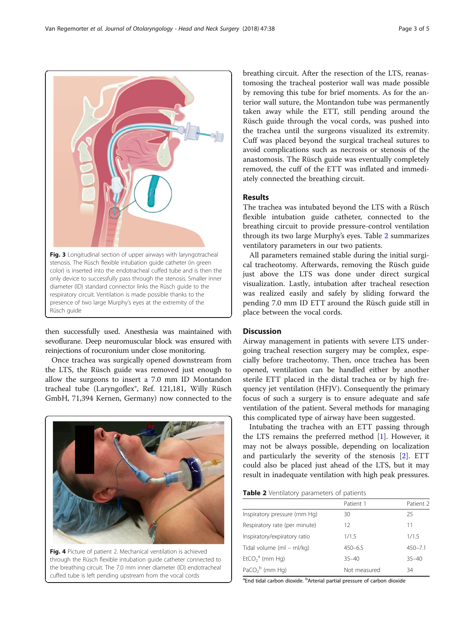then successfully used. Anesthesia was maintained with sevoflurane. Deep neuromuscular block was ensured with reinjections of rocuronium under close monitoring.

Once trachea was surgically opened downstream from the LTS, the Rüsch guide was removed just enough to allow the surgeons to insert a 7.0 mm ID Montandon tracheal tube (Laryngoflex®, Ref. 121,181, Willy Rüsch GmbH, 71,394 Kernen, Germany) now connected to the

by removing this tube for brief moments. As for the anterior wall suture, the Montandon tube was permanently taken away while the ETT, still pending around the Rüsch guide through the vocal cords, was pushed into the trachea until the surgeons visualized its extremity. Cuff was placed beyond the surgical tracheal sutures to avoid complications such as necrosis or stenosis of the anastomosis. The Rüsch guide was eventually completely removed, the cuff of the ETT was inflated and immediately connected the breathing circuit.

breathing circuit. After the resection of the LTS, reanastomosing the tracheal posterior wall was made possible

## Results

The trachea was intubated beyond the LTS with a Rüsch flexible intubation guide catheter, connected to the breathing circuit to provide pressure-control ventilation through its two large Murphy's eyes. Table 2 summarizes ventilatory parameters in our two patients.

All parameters remained stable during the initial surgical tracheotomy. Afterwards, removing the Rüsch guide just above the LTS was done under direct surgical visualization. Lastly, intubation after tracheal resection was realized easily and safely by sliding forward the pending 7.0 mm ID ETT around the Rüsch guide still in place between the vocal cords.

## **Discussion**

Airway management in patients with severe LTS undergoing tracheal resection surgery may be complex, especially before tracheotomy. Then, once trachea has been opened, ventilation can be handled either by another sterile ETT placed in the distal trachea or by high frequency jet ventilation (HFJV). Consequently the primary focus of such a surgery is to ensure adequate and safe ventilation of the patient. Several methods for managing this complicated type of airway have been suggested.

Intubating the trachea with an ETT passing through the LTS remains the preferred method [\[1](#page-4-0)]. However, it may not be always possible, depending on localization and particularly the severity of the stenosis [\[2](#page-4-0)]. ETT could also be placed just ahead of the LTS, but it may result in inadequate ventilation with high peak pressures.

|                               | Patient 1    | Patient 2   |
|-------------------------------|--------------|-------------|
| Inspiratory pressure (mm Hg)  | 30           | 25          |
| Respiratory rate (per minute) | 12           | 11          |
| Inspiratory/expiratory ratio  | 1/1.5        | 1/1.5       |
| Tidal volume (ml – ml/kg)     | $450 - 6.5$  | $450 - 7.1$ |
| $EtCO2a$ (mm Hg)              | $35 - 40$    | $35 - 40$   |
| PaCO <sub>2</sub> $b$ (mm Hg) | Not measured | 34          |

<sup>a</sup>End tidal carbon dioxide. <sup>b</sup>Arterial partial pressure of carbon dioxide

Fig. 4 Picture of patient 2. Mechanical ventilation is achieved through the Rüsch flexible intubation guide catheter connected to the breathing circuit. The 7.0 mm inner diameter (ID) endotracheal cuffed tube is left pending upstream from the vocal cords

<span id="page-2-0"></span>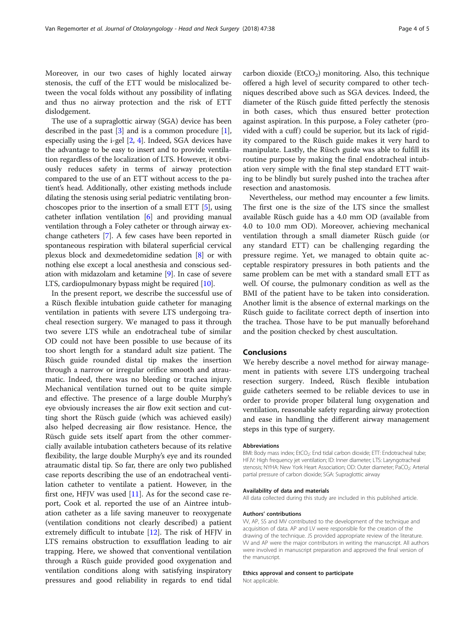Moreover, in our two cases of highly located airway stenosis, the cuff of the ETT would be mislocalized between the vocal folds without any possibility of inflating and thus no airway protection and the risk of ETT dislodgement.

The use of a supraglottic airway (SGA) device has been described in the past [[3\]](#page-4-0) and is a common procedure [[1](#page-4-0)], especially using the i-gel [\[2,](#page-4-0) [4\]](#page-4-0). Indeed, SGA devices have the advantage to be easy to insert and to provide ventilation regardless of the localization of LTS. However, it obviously reduces safety in terms of airway protection compared to the use of an ETT without access to the patient's head. Additionally, other existing methods include dilating the stenosis using serial pediatric ventilating bronchoscopes prior to the insertion of a small ETT [\[5\]](#page-4-0), using catheter inflation ventilation [[6\]](#page-4-0) and providing manual ventilation through a Foley catheter or through airway exchange catheters [\[7\]](#page-4-0). A few cases have been reported in spontaneous respiration with bilateral superficial cervical plexus block and dexmedetomidine sedation [\[8\]](#page-4-0) or with nothing else except a local anesthesia and conscious sedation with midazolam and ketamine [[9](#page-4-0)]. In case of severe LTS, cardiopulmonary bypass might be required [[10](#page-4-0)].

In the present report, we describe the successful use of a Rüsch flexible intubation guide catheter for managing ventilation in patients with severe LTS undergoing tracheal resection surgery. We managed to pass it through two severe LTS while an endotracheal tube of similar OD could not have been possible to use because of its too short length for a standard adult size patient. The Rüsch guide rounded distal tip makes the insertion through a narrow or irregular orifice smooth and atraumatic. Indeed, there was no bleeding or trachea injury. Mechanical ventilation turned out to be quite simple and effective. The presence of a large double Murphy's eye obviously increases the air flow exit section and cutting short the Rüsch guide (which was achieved easily) also helped decreasing air flow resistance. Hence, the Rüsch guide sets itself apart from the other commercially available intubation catheters because of its relative flexibility, the large double Murphy's eye and its rounded atraumatic distal tip. So far, there are only two published case reports describing the use of an endotracheal ventilation catheter to ventilate a patient. However, in the first one, HFJV was used  $[11]$  $[11]$ . As for the second case report, Cook et al. reported the use of an Aintree intubation catheter as a life saving maneuver to reoxygenate (ventilation conditions not clearly described) a patient extremely difficult to intubate [[12](#page-4-0)]. The risk of HFJV in LTS remains obstruction to exsufflation leading to air trapping. Here, we showed that conventional ventilation through a Rüsch guide provided good oxygenation and ventilation conditions along with satisfying inspiratory pressures and good reliability in regards to end tidal carbon dioxide ( $E<sub>1</sub>CO<sub>2</sub>$ ) monitoring. Also, this technique offered a high level of security compared to other techniques described above such as SGA devices. Indeed, the diameter of the Rüsch guide fitted perfectly the stenosis in both cases, which thus ensured better protection against aspiration. In this purpose, a Foley catheter (provided with a cuff) could be superior, but its lack of rigidity compared to the Rüsch guide makes it very hard to manipulate. Lastly, the Rüsch guide was able to fulfill its routine purpose by making the final endotracheal intubation very simple with the final step standard ETT waiting to be blindly but surely pushed into the trachea after resection and anastomosis.

Nevertheless, our method may encounter a few limits. The first one is the size of the LTS since the smallest available Rüsch guide has a 4.0 mm OD (available from 4.0 to 10.0 mm OD). Moreover, achieving mechanical ventilation through a small diameter Rüsch guide (or any standard ETT) can be challenging regarding the pressure regime. Yet, we managed to obtain quite acceptable respiratory pressures in both patients and the same problem can be met with a standard small ETT as well. Of course, the pulmonary condition as well as the BMI of the patient have to be taken into consideration. Another limit is the absence of external markings on the Rüsch guide to facilitate correct depth of insertion into the trachea. Those have to be put manually beforehand and the position checked by chest auscultation.

## Conclusions

We hereby describe a novel method for airway management in patients with severe LTS undergoing tracheal resection surgery. Indeed, Rüsch flexible intubation guide catheters seemed to be reliable devices to use in order to provide proper bilateral lung oxygenation and ventilation, reasonable safety regarding airway protection and ease in handling the different airway management steps in this type of surgery.

#### Abbreviations

BMI: Body mass index; EtCO<sub>2</sub>: End tidal carbon dioxide; ETT: Endotracheal tube; HFJV: High frequency jet ventilation; ID: Inner diameter; LTS: Laryngotracheal stenosis; NYHA: New York Heart Association; OD: Outer diameter; PaCO<sub>2</sub>: Arterial partial pressure of carbon dioxide; SGA: Supraglottic airway

#### Availability of data and materials

All data collected during this study are included in this published article.

#### Authors' contributions

VV, AP, SS and MV contributed to the development of the technique and acquisition of data. AP and LV were responsible for the creation of the drawing of the technique. JS provided appropriate review of the literature. VV and AP were the major contributors in writing the manuscript. All authors were involved in manuscript preparation and approved the final version of the manuscript.

## Ethics approval and consent to participate

Not applicable.